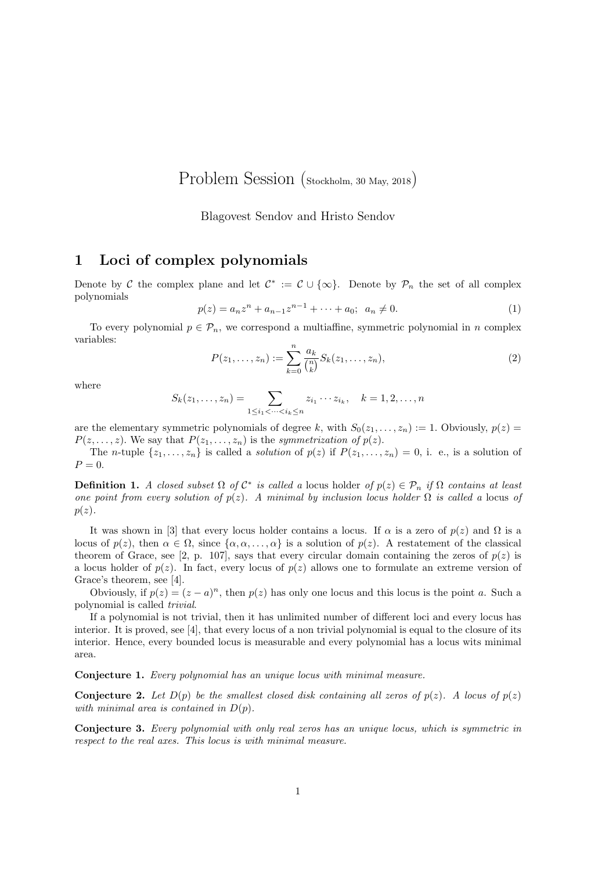Problem Session (Stockholm, 30 May, 2018)

Blagovest Sendov and Hristo Sendov

## 1 Loci of complex polynomials

Denote by C the complex plane and let  $\mathcal{C}^* := \mathcal{C} \cup \{\infty\}$ . Denote by  $\mathcal{P}_n$  the set of all complex polynomials

$$
p(z) = a_n z^n + a_{n-1} z^{n-1} + \dots + a_0; \ \ a_n \neq 0.
$$
 (1)

To every polynomial  $p \in \mathcal{P}_n$ , we correspond a multiaffine, symmetric polynomial in n complex variables:

$$
P(z_1, ..., z_n) := \sum_{k=0}^{n} \frac{a_k}{\binom{n}{k}} S_k(z_1, ..., z_n),
$$
\n(2)

where

$$
S_k(z_1,\ldots,z_n)=\sum_{1\leq i_1<\cdots
$$

are the elementary symmetric polynomials of degree k, with  $S_0(z_1, \ldots, z_n) := 1$ . Obviously,  $p(z) =$  $P(z, \ldots, z)$ . We say that  $P(z_1, \ldots, z_n)$  is the symmetrization of  $p(z)$ .

The *n*-tuple  $\{z_1, \ldots, z_n\}$  is called a *solution* of  $p(z)$  if  $P(z_1, \ldots, z_n) = 0$ , i. e., is a solution of  $P=0.$ 

**Definition 1.** A closed subset  $\Omega$  of  $C^*$  is called a locus holder of  $p(z) \in \mathcal{P}_n$  if  $\Omega$  contains at least one point from every solution of  $p(z)$ . A minimal by inclusion locus holder  $\Omega$  is called a locus of  $p(z)$ .

It was shown in [3] that every locus holder contains a locus. If  $\alpha$  is a zero of  $p(z)$  and  $\Omega$  is a locus of  $p(z)$ , then  $\alpha \in \Omega$ , since  $\{\alpha, \alpha, \dots, \alpha\}$  is a solution of  $p(z)$ . A restatement of the classical theorem of Grace, see [2, p. 107], says that every circular domain containing the zeros of  $p(z)$  is a locus holder of  $p(z)$ . In fact, every locus of  $p(z)$  allows one to formulate an extreme version of Grace's theorem, see [4].

Obviously, if  $p(z) = (z - a)^n$ , then  $p(z)$  has only one locus and this locus is the point a. Such a polynomial is called trivial.

If a polynomial is not trivial, then it has unlimited number of different loci and every locus has interior. It is proved, see [4], that every locus of a non trivial polynomial is equal to the closure of its interior. Hence, every bounded locus is measurable and every polynomial has a locus wits minimal area.

Conjecture 1. Every polynomial has an unique locus with minimal measure.

**Conjecture 2.** Let  $D(p)$  be the smallest closed disk containing all zeros of  $p(z)$ . A locus of  $p(z)$ with minimal area is contained in  $D(p)$ .

Conjecture 3. Every polynomial with only real zeros has an unique locus, which is symmetric in respect to the real axes. This locus is with minimal measure.